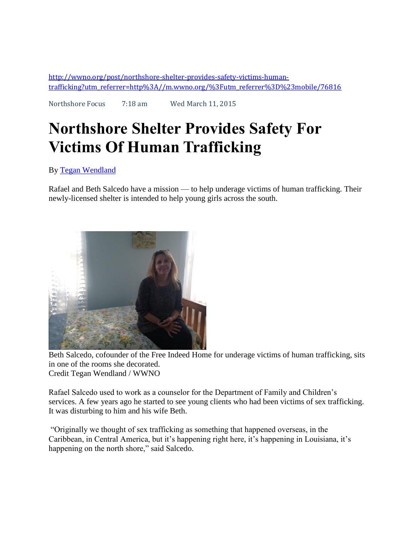[http://wwno.org/post/northshore-shelter-provides-safety-victims-human](http://wwno.org/post/northshore-shelter-provides-safety-victims-human-trafficking?utm_referrer=http%3A//m.wwno.org/%3Futm_referrer%3D%23mobile/76816)[trafficking?utm\\_referrer=http%3A//m.wwno.org/%3Futm\\_referrer%3D%23mobile/76816](http://wwno.org/post/northshore-shelter-provides-safety-victims-human-trafficking?utm_referrer=http%3A//m.wwno.org/%3Futm_referrer%3D%23mobile/76816)

Northshore Focus 7:18 am Wed March 11, 2015

## **Northshore Shelter Provides Safety For Victims Of Human Trafficking**

By [Tegan Wendland](http://wwno.org/people/tegan-wendland)

Rafael and Beth Salcedo have a mission — to help underage victims of human trafficking. Their newly-licensed shelter is intended to help young girls across the south.



Beth Salcedo, cofounder of the Free Indeed Home for underage victims of human trafficking, sits in one of the rooms she decorated. Credit Tegan Wendland / WWNO

Rafael Salcedo used to work as a counselor for the Department of Family and Children's services. A few years ago he started to see young clients who had been victims of sex trafficking. It was disturbing to him and his wife Beth.

"Originally we thought of sex trafficking as something that happened overseas, in the Caribbean, in Central America, but it's happening right here, it's happening in Louisiana, it's happening on the north shore," said Salcedo.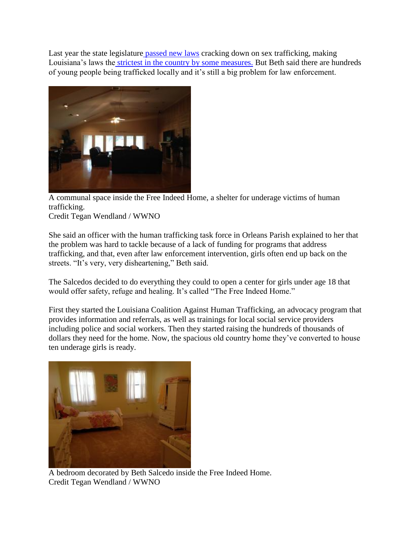Last year the state legislature [passed new laws](http://legis.la.gov/lss/lss.asp?doc=320889) cracking down on sex trafficking, making Louisiana's laws the [strictest in the country by some measures.](http://www.nola.com/politics/index.ssf/2014/11/louisiana_best_in_nation_at_co.html) But Beth said there are hundreds of young people being trafficked locally and it's still a big problem for law enforcement.



A communal space inside the Free Indeed Home, a shelter for underage victims of human trafficking.

Credit Tegan Wendland / WWNO

She said an officer with the human trafficking task force in Orleans Parish explained to her that the problem was hard to tackle because of a lack of funding for programs that address trafficking, and that, even after law enforcement intervention, girls often end up back on the streets. "It's very, very disheartening," Beth said.

The Salcedos decided to do everything they could to open a center for girls under age 18 that would offer safety, refuge and healing. It's called "The Free Indeed Home."

First they started the Louisiana Coalition Against Human Trafficking, an advocacy program that provides information and referrals, as well as trainings for local social service providers including police and social workers. Then they started raising the hundreds of thousands of dollars they need for the home. Now, the spacious old country home they've converted to house ten underage girls is ready.



A bedroom decorated by Beth Salcedo inside the Free Indeed Home. Credit Tegan Wendland / WWNO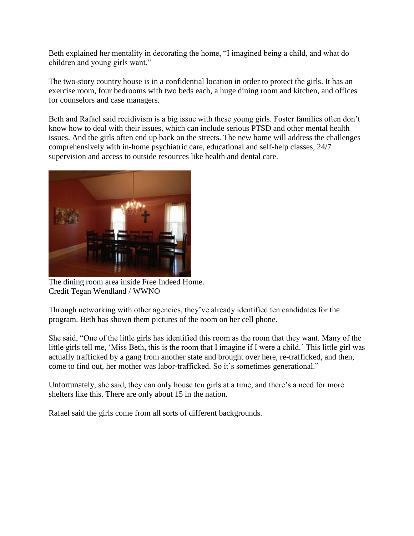Beth explained her mentality in decorating the home, "I imagined being a child, and what do children and young girls want."

The two-story country house is in a confidential location in order to protect the girls. It has an exercise room, four bedrooms with two beds each, a huge dining room and kitchen, and offices for counselors and case managers.

Beth and Rafael said recidivism is a big issue with these young girls. Foster families often don't know how to deal with their issues, which can include serious PTSD and other mental health issues. And the girls often end up back on the streets. The new home will address the challenges comprehensively with in-home psychiatric care, educational and self-help classes, 24/7 supervision and access to outside resources like health and dental care.



The dining room area inside Free Indeed Home. Credit Tegan Wendland / WWNO

Through networking with other agencies, they've already identified ten candidates for the program. Beth has shown them pictures of the room on her cell phone.

She said, "One of the little girls has identified this room as the room that they want. Many of the little girls tell me, 'Miss Beth, this is the room that I imagine if I were a child.' This little girl was actually trafficked by a gang from another state and brought over here, re-trafficked, and then, come to find out, her mother was labor-trafficked. So it's sometimes generational."

Unfortunately, she said, they can only house ten girls at a time, and there's a need for more shelters like this. There are only about 15 in the nation.

Rafael said the girls come from all sorts of different backgrounds.